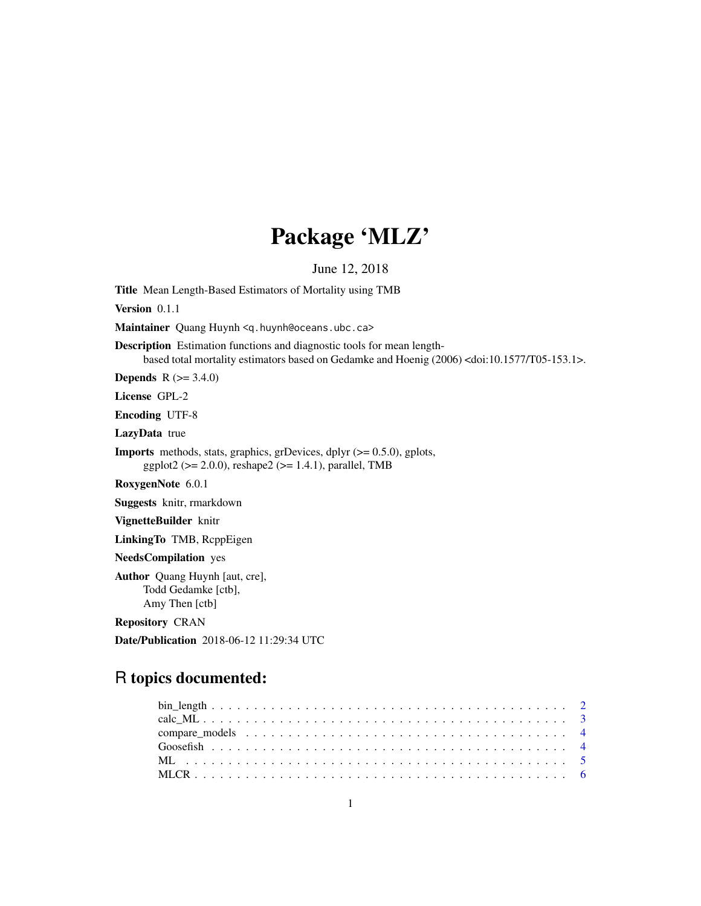# Package 'MLZ'

June 12, 2018

<span id="page-0-0"></span>Title Mean Length-Based Estimators of Mortality using TMB

Version 0.1.1

Maintainer Quang Huynh <q.huynh@oceans.ubc.ca>

Description Estimation functions and diagnostic tools for mean lengthbased total mortality estimators based on Gedamke and Hoenig (2006) <doi:10.1577/T05-153.1>.

**Depends** R  $(>= 3.4.0)$ 

License GPL-2

Encoding UTF-8

LazyData true

**Imports** methods, stats, graphics, grDevices, dplyr  $(>= 0.5.0)$ , gplots, ggplot2 ( $>= 2.0.0$ ), reshape2 ( $>= 1.4.1$ ), parallel, TMB

RoxygenNote 6.0.1

Suggests knitr, rmarkdown

VignetteBuilder knitr

LinkingTo TMB, RcppEigen

NeedsCompilation yes

Author Quang Huynh [aut, cre], Todd Gedamke [ctb], Amy Then [ctb]

Repository CRAN

Date/Publication 2018-06-12 11:29:34 UTC

## R topics documented: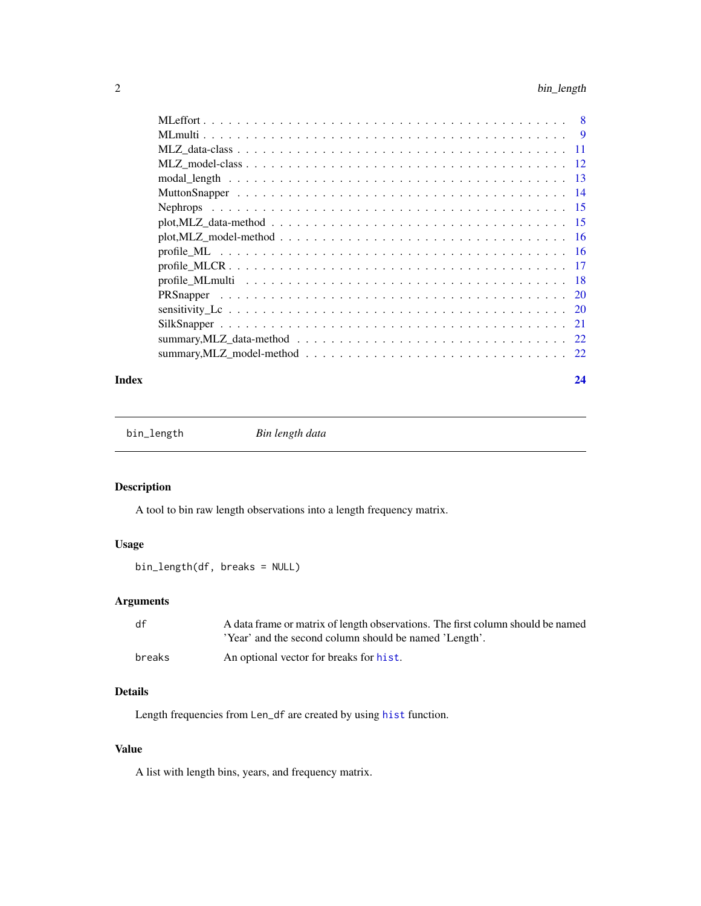<span id="page-1-0"></span>

#### **Index** [24](#page-23-0)

<span id="page-1-1"></span>bin\_length *Bin length data*

## Description

A tool to bin raw length observations into a length frequency matrix.

## Usage

```
bin_length(df, breaks = NULL)
```
## Arguments

| df     | A data frame or matrix of length observations. The first column should be named |
|--------|---------------------------------------------------------------------------------|
|        | 'Year' and the second column should be named 'Length'.                          |
| breaks | An optional vector for breaks for hist.                                         |

## Details

Length frequencies from Len\_df are created by using [hist](#page-0-0) function.

## Value

A list with length bins, years, and frequency matrix.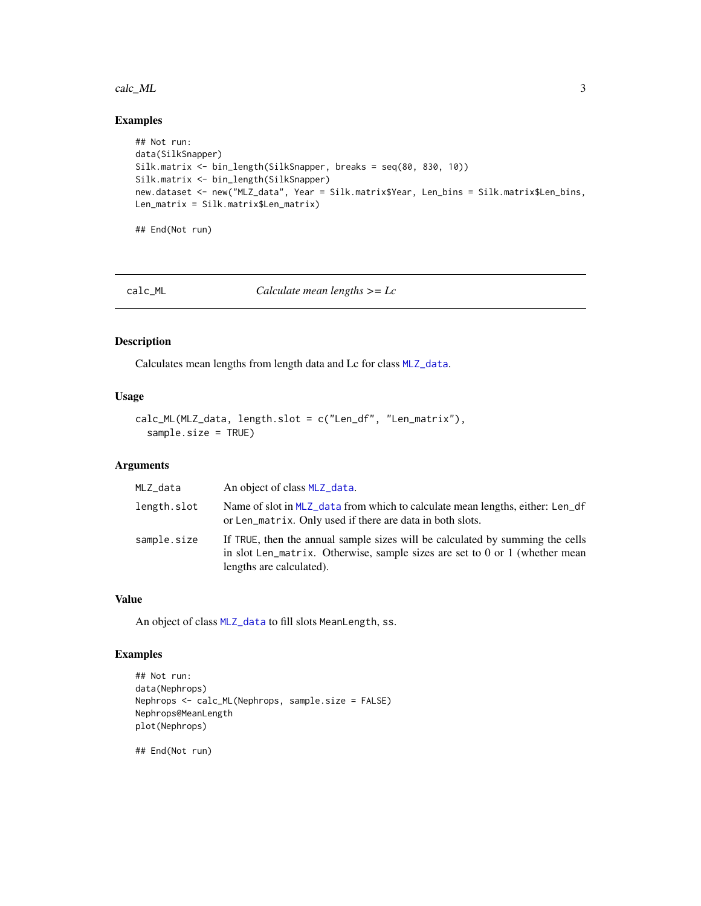#### <span id="page-2-0"></span>calc\_ML 3

## Examples

```
## Not run:
data(SilkSnapper)
Silk.matrix <- bin_length(SilkSnapper, breaks = seq(80, 830, 10))
Silk.matrix <- bin_length(SilkSnapper)
new.dataset <- new("MLZ_data", Year = Silk.matrix$Year, Len_bins = Silk.matrix$Len_bins,
Len_matrix = Silk.matrix$Len_matrix)
## End(Not run)
```
calc\_ML *Calculate mean lengths >= Lc*

## Description

Calculates mean lengths from length data and Lc for class [MLZ\\_data](#page-10-1).

## Usage

```
calc_ML(MLZ_data, length.slot = c("Len_df", "Len_matrix"),
  sample.size = TRUE)
```
## Arguments

| MLZ_data    | An object of class MLZ_data.                                                                                                                                                             |
|-------------|------------------------------------------------------------------------------------------------------------------------------------------------------------------------------------------|
| length.slot | Name of slot in MLZ_data from which to calculate mean lengths, either: Len_df<br>or Len_matrix. Only used if there are data in both slots.                                               |
| sample.size | If TRUE, then the annual sample sizes will be calculated by summing the cells<br>in slot Len_matrix. Otherwise, sample sizes are set to 0 or 1 (whether mean<br>lengths are calculated). |

## Value

An object of class [MLZ\\_data](#page-10-1) to fill slots MeanLength, ss.

## Examples

```
## Not run:
data(Nephrops)
Nephrops <- calc_ML(Nephrops, sample.size = FALSE)
Nephrops@MeanLength
plot(Nephrops)
```
## End(Not run)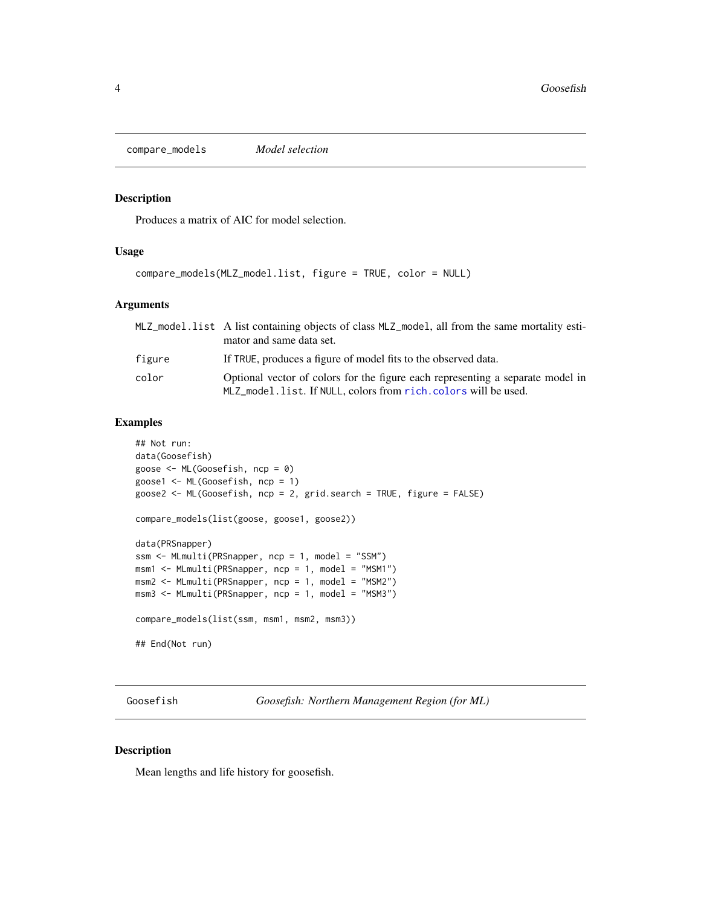<span id="page-3-0"></span>compare\_models *Model selection*

#### Description

Produces a matrix of AIC for model selection.

## Usage

```
compare_models(MLZ_model.list, figure = TRUE, color = NULL)
```
#### Arguments

|        | MLZ_model.list A list containing objects of class MLZ_model, all from the same mortality esti-<br>mator and same data set.                       |
|--------|--------------------------------------------------------------------------------------------------------------------------------------------------|
| figure | If TRUE, produces a figure of model fits to the observed data.                                                                                   |
| color  | Optional vector of colors for the figure each representing a separate model in<br>MLZ_model.list. If NULL, colors from rich.colors will be used. |

## Examples

```
## Not run:
data(Goosefish)
goose <- ML(Goosefish, ncp = 0)
goose1 <- ML(Goosefish, ncp = 1)
goose2 <- ML(Goosefish, ncp = 2, grid.search = TRUE, figure = FALSE)
compare_models(list(goose, goose1, goose2))
data(PRSnapper)
ssm <- MLmulti(PRSnapper, ncp = 1, model = "SSM")
msm1 <- MLmulti(PRSnapper, ncp = 1, model = "MSM1")
msm2 <- MLmulti(PRSnapper, ncp = 1, model = "MSM2")
msm3 <- MLmulti(PRSnapper, ncp = 1, model = "MSM3")
compare_models(list(ssm, msm1, msm2, msm3))
## End(Not run)
```
Goosefish *Goosefish: Northern Management Region (for ML)*

## Description

Mean lengths and life history for goosefish.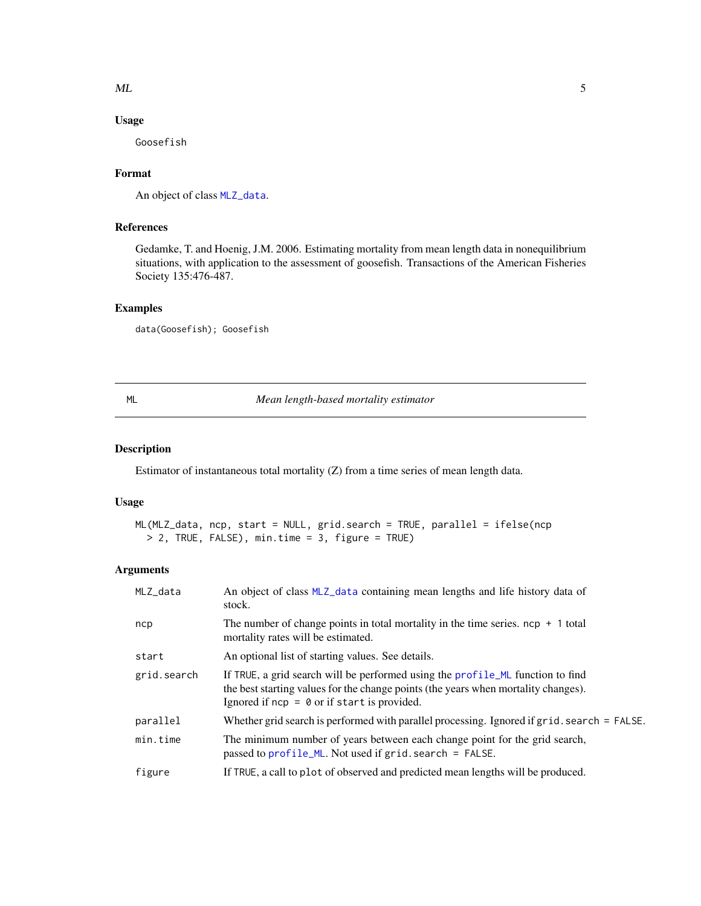## <span id="page-4-0"></span> $ML$  5

## Usage

Goosefish

## Format

An object of class [MLZ\\_data](#page-10-1).

## References

Gedamke, T. and Hoenig, J.M. 2006. Estimating mortality from mean length data in nonequilibrium situations, with application to the assessment of goosefish. Transactions of the American Fisheries Society 135:476-487.

## Examples

data(Goosefish); Goosefish

<span id="page-4-1"></span>ML *Mean length-based mortality estimator*

## Description

Estimator of instantaneous total mortality (Z) from a time series of mean length data.

## Usage

```
ML(MLZ_data, ncp, start = NULL, grid.search = TRUE, parallel = ifelse(ncp
 > 2, TRUE, FALSE), min.time = 3, figure = TRUE)
```
## Arguments

| MLZ_data    | An object of class MLZ_data containing mean lengths and life history data of<br>stock.                                                                                                                                |
|-------------|-----------------------------------------------------------------------------------------------------------------------------------------------------------------------------------------------------------------------|
| ncp         | The number of change points in total mortality in the time series. $ncp + 1$ total<br>mortality rates will be estimated.                                                                                              |
| start       | An optional list of starting values. See details.                                                                                                                                                                     |
| grid.search | If TRUE, a grid search will be performed using the profile_ML function to find<br>the best starting values for the change points (the years when mortality changes).<br>Ignored if $ncp = 0$ or if start is provided. |
| parallel    | Whether grid search is performed with parallel processing. Ignored if grid. search = FALSE.                                                                                                                           |
| min.time    | The minimum number of years between each change point for the grid search,<br>passed to $profile_ML$ . Not used if $grid. search = FALSE$ .                                                                           |
| figure      | If TRUE, a call to plot of observed and predicted mean lengths will be produced.                                                                                                                                      |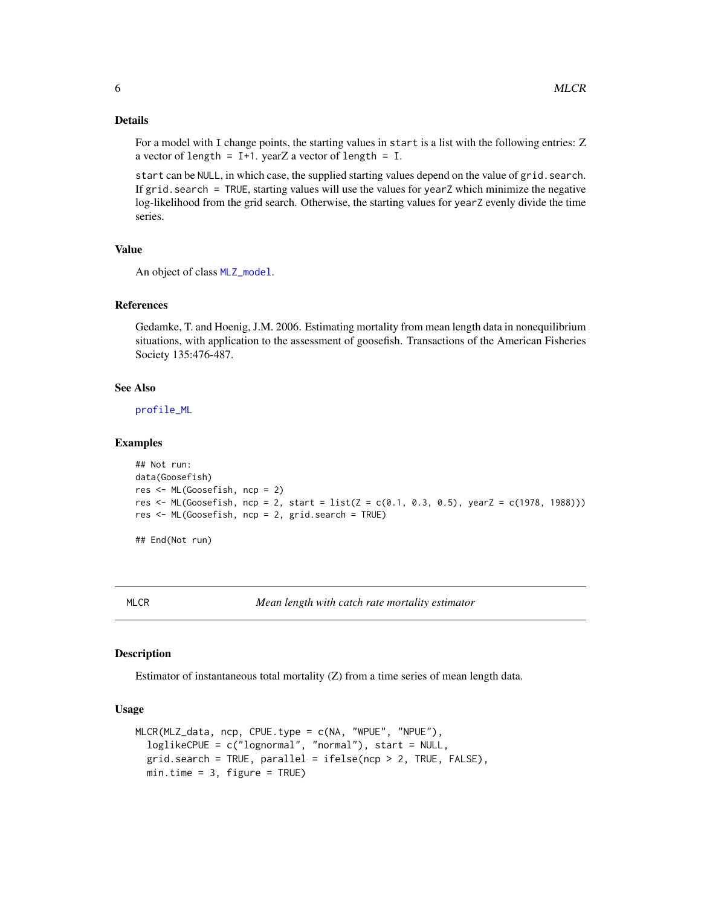## Details

For a model with I change points, the starting values in start is a list with the following entries: Z a vector of length =  $I+1$ . yearZ a vector of length =  $I$ .

start can be NULL, in which case, the supplied starting values depend on the value of grid. search. If grid.search = TRUE, starting values will use the values for yearZ which minimize the negative log-likelihood from the grid search. Otherwise, the starting values for yearZ evenly divide the time series.

#### Value

An object of class [MLZ\\_model](#page-11-1).

#### References

Gedamke, T. and Hoenig, J.M. 2006. Estimating mortality from mean length data in nonequilibrium situations, with application to the assessment of goosefish. Transactions of the American Fisheries Society 135:476-487.

#### See Also

[profile\\_ML](#page-15-1)

#### Examples

```
## Not run:
data(Goosefish)
res <- ML(Goosefish, ncp = 2)
res <- ML(Goosefish, ncp = 2, start = list(Z = c(0.1, 0.3, 0.5), yearZ = c(1978, 1988)))
res <- ML(Goosefish, ncp = 2, grid.search = TRUE)
```
## End(Not run)

MLCR *Mean length with catch rate mortality estimator*

## Description

Estimator of instantaneous total mortality (Z) from a time series of mean length data.

#### Usage

```
MLCR(MLZ_data, ncp, CPUE.type = c(NA, "WPUE", "NPUE"),
  loglikeCPUE = c("lognormal", "normal"), start = NULL,
  grid.search = TRUE, parallel = ifelse(ncp > 2, TRUE, FALSE),
 min.time = 3, figure = TRUE)
```
<span id="page-5-0"></span>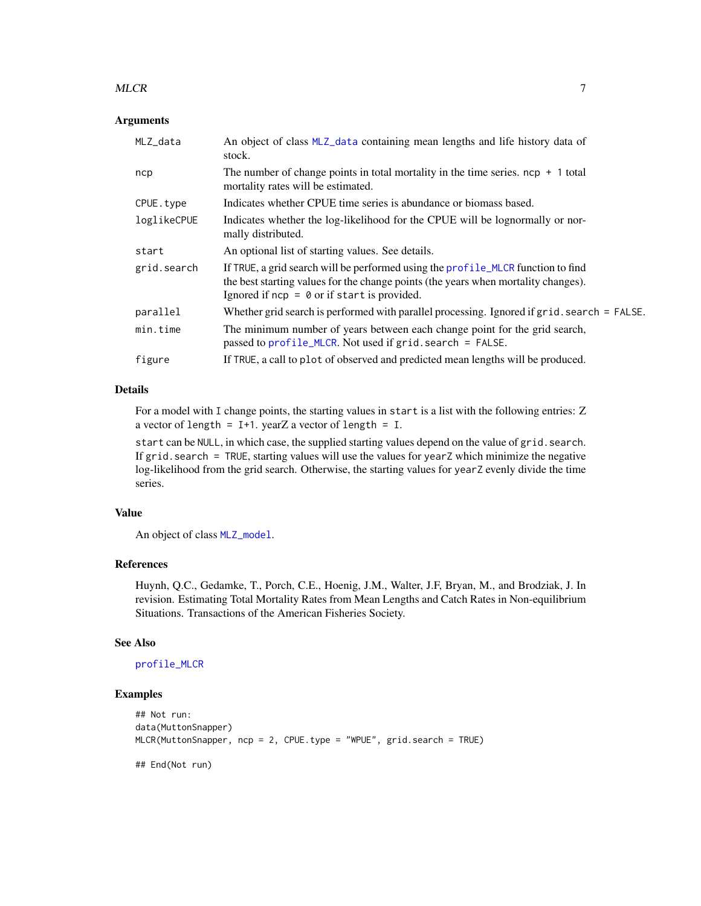#### <span id="page-6-0"></span> $MLCR$  7

#### Arguments

| MLZ_data    | An object of class MLZ_data containing mean lengths and life history data of<br>stock.                                                                                                                                  |
|-------------|-------------------------------------------------------------------------------------------------------------------------------------------------------------------------------------------------------------------------|
| ncp         | The number of change points in total mortality in the time series. $ncp + 1$ total<br>mortality rates will be estimated.                                                                                                |
| CPUE.type   | Indicates whether CPUE time series is abundance or biomass based.                                                                                                                                                       |
| loglikeCPUE | Indicates whether the log-likelihood for the CPUE will be lognormally or nor-<br>mally distributed.                                                                                                                     |
| start       | An optional list of starting values. See details.                                                                                                                                                                       |
| grid.search | If TRUE, a grid search will be performed using the profile_MLCR function to find<br>the best starting values for the change points (the years when mortality changes).<br>Ignored if $ncp = 0$ or if start is provided. |
| parallel    | Whether grid search is performed with parallel processing. Ignored if grid. search = FALSE.                                                                                                                             |
| min.time    | The minimum number of years between each change point for the grid search,<br>passed to profile_MLCR. Not used if grid. search = FALSE.                                                                                 |
| figure      | If TRUE, a call to plot of observed and predicted mean lengths will be produced.                                                                                                                                        |

## Details

For a model with I change points, the starting values in start is a list with the following entries: Z a vector of length =  $I+1$ . yearZ a vector of length =  $I$ .

start can be NULL, in which case, the supplied starting values depend on the value of grid. search. If grid.search = TRUE, starting values will use the values for yearZ which minimize the negative log-likelihood from the grid search. Otherwise, the starting values for yearZ evenly divide the time series.

#### Value

An object of class [MLZ\\_model](#page-11-1).

#### References

Huynh, Q.C., Gedamke, T., Porch, C.E., Hoenig, J.M., Walter, J.F, Bryan, M., and Brodziak, J. In revision. Estimating Total Mortality Rates from Mean Lengths and Catch Rates in Non-equilibrium Situations. Transactions of the American Fisheries Society.

#### See Also

#### [profile\\_MLCR](#page-16-1)

#### Examples

```
## Not run:
data(MuttonSnapper)
MLCR(MuttonSnapper, ncp = 2, CPUE.type = "WPUE", grid.search = TRUE)
## End(Not run)
```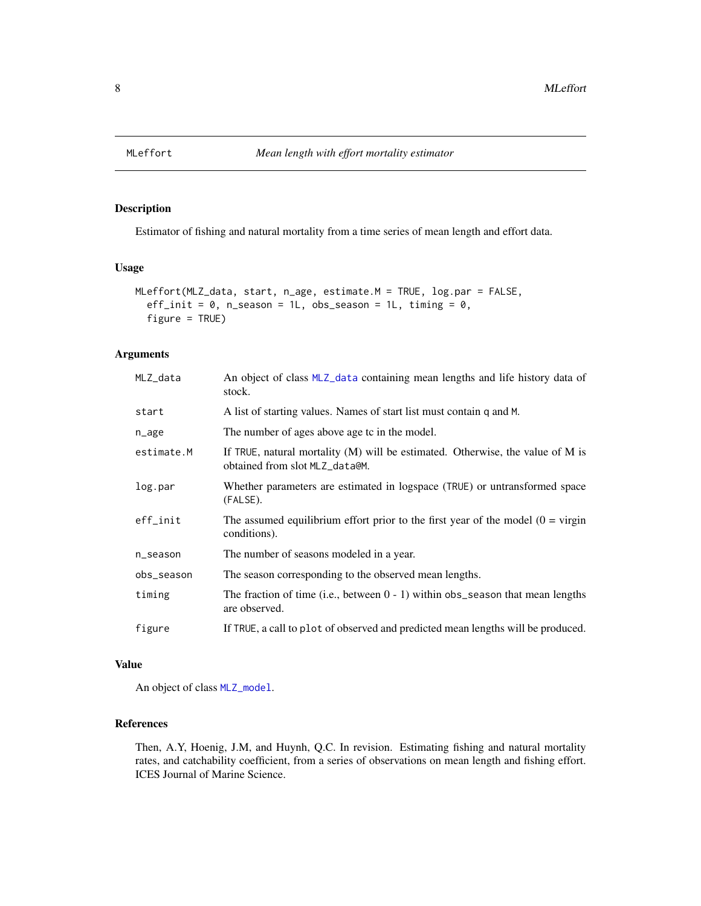<span id="page-7-0"></span>

## Description

Estimator of fishing and natural mortality from a time series of mean length and effort data.

#### Usage

```
MLeffort(MLZ_data, start, n_age, estimate.M = TRUE, log.par = FALSE,
 eff_init = 0, n_season = 1L, obs_season = 1L, timing = 0,
  figure = TRUE)
```
## Arguments

| MLZ_data               | An object of class MLZ_data containing mean lengths and life history data of<br>stock.                             |
|------------------------|--------------------------------------------------------------------------------------------------------------------|
| start                  | A list of starting values. Names of start list must contain q and M.                                               |
| n_age                  | The number of ages above age to in the model.                                                                      |
| estimate.M             | If TRUE, natural mortality $(M)$ will be estimated. Otherwise, the value of M is<br>obtained from slot MLZ_data@M. |
| log.par                | Whether parameters are estimated in logspace (TRUE) or untransformed space<br>(FALSE).                             |
| $eff$ <sub>_init</sub> | The assumed equilibrium effort prior to the first year of the model $(0 = \text{virgin})$<br>conditions).          |
| n_season               | The number of seasons modeled in a year.                                                                           |
| obs_season             | The season corresponding to the observed mean lengths.                                                             |
| timing                 | The fraction of time (i.e., between $0 - 1$ ) within obs_season that mean lengths<br>are observed.                 |
| figure                 | If TRUE, a call to plot of observed and predicted mean lengths will be produced.                                   |

## Value

An object of class [MLZ\\_model](#page-11-1).

## References

Then, A.Y, Hoenig, J.M, and Huynh, Q.C. In revision. Estimating fishing and natural mortality rates, and catchability coefficient, from a series of observations on mean length and fishing effort. ICES Journal of Marine Science.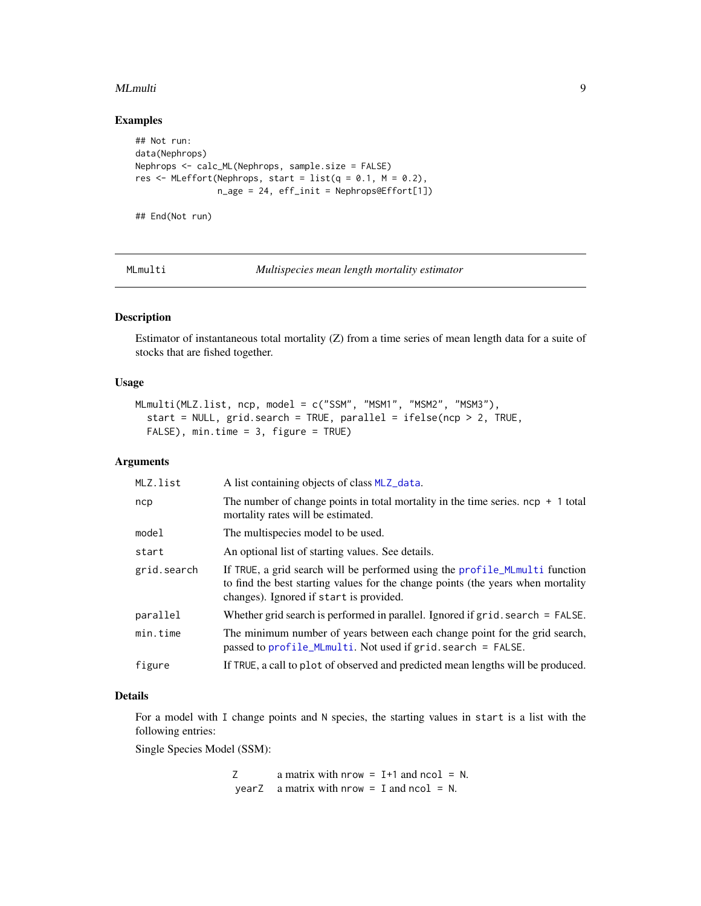#### <span id="page-8-0"></span>MLmulti 9

## Examples

```
## Not run:
data(Nephrops)
Nephrops <- calc_ML(Nephrops, sample.size = FALSE)
res \leq MLeffort(Nephrops, start = list(q = 0.1, M = 0.2),
                n_{age} = 24, eff_init = Nephrops@Effort[1])
```
## End(Not run)

MLmulti *Multispecies mean length mortality estimator*

#### Description

Estimator of instantaneous total mortality (Z) from a time series of mean length data for a suite of stocks that are fished together.

## Usage

```
MLmulti(MLZ.list, ncp, model = c("SSM", "MSM1", "MSM2", "MSM3"),
  start = NULL, grid.search = TRUE, parallel = ifelse(np > 2, TRUE,
  FALSE), min.time = 3, figure = TRUE)
```
#### Arguments

| MLZ.list    | A list containing objects of class MLZ_data.                                                                                                                                                               |
|-------------|------------------------------------------------------------------------------------------------------------------------------------------------------------------------------------------------------------|
| ncp         | The number of change points in total mortality in the time series. $ncp + 1$ total<br>mortality rates will be estimated.                                                                                   |
| model       | The multispecies model to be used.                                                                                                                                                                         |
| start       | An optional list of starting values. See details.                                                                                                                                                          |
| grid.search | If TRUE, a grid search will be performed using the profile_MLmulti function<br>to find the best starting values for the change points (the years when mortality<br>changes). Ignored if start is provided. |
| parallel    | Whether grid search is performed in parallel. Ignored if $grid$ . search $=$ FALSE.                                                                                                                        |
| min.time    | The minimum number of years between each change point for the grid search,<br>passed to profile_MLmulti. Not used if grid. search = FALSE.                                                                 |
| figure      | If TRUE, a call to plot of observed and predicted mean lengths will be produced.                                                                                                                           |

## Details

For a model with I change points and N species, the starting values in start is a list with the following entries:

Single Species Model (SSM):

 $Z$  a matrix with nrow = I+1 and ncol = N. yearZ a matrix with nrow = I and ncol = N.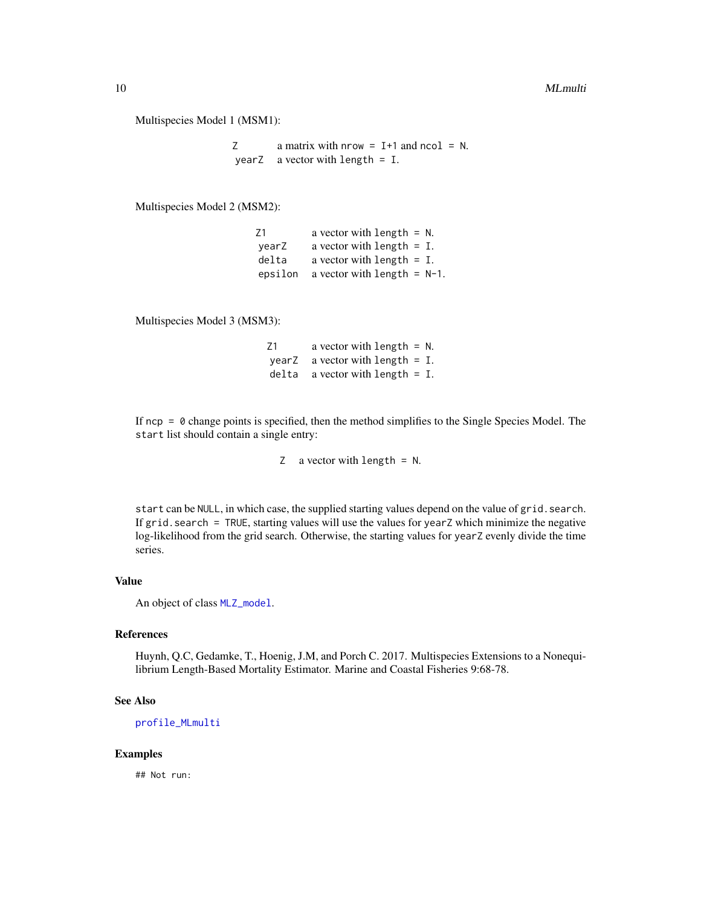#### <span id="page-9-0"></span>10 MLmulti

Multispecies Model 1 (MSM1):

 $Z$  a matrix with nrow = I+1 and ncol = N. yearZ a vector with length = I.

Multispecies Model 2 (MSM2):

| 71      | a vector with length $= N$ .   |  |
|---------|--------------------------------|--|
| vearZ   | a vector with length $=$ I.    |  |
| delta   | a vector with length $=$ I.    |  |
| epsilon | a vector with length = $N-1$ . |  |

Multispecies Model 3 (MSM3):

Z1 a vector with length = N. yearZ a vector with length = I. delta a vector with length = I.

If  $ncp = 0$  change points is specified, then the method simplifies to the Single Species Model. The start list should contain a single entry:

Z a vector with length = N.

start can be NULL, in which case, the supplied starting values depend on the value of grid.search. If grid.search = TRUE, starting values will use the values for yearZ which minimize the negative log-likelihood from the grid search. Otherwise, the starting values for yearZ evenly divide the time series.

## Value

An object of class [MLZ\\_model](#page-11-1).

#### References

Huynh, Q.C, Gedamke, T., Hoenig, J.M, and Porch C. 2017. Multispecies Extensions to a Nonequilibrium Length-Based Mortality Estimator. Marine and Coastal Fisheries 9:68-78.

#### See Also

[profile\\_MLmulti](#page-17-1)

## Examples

## Not run: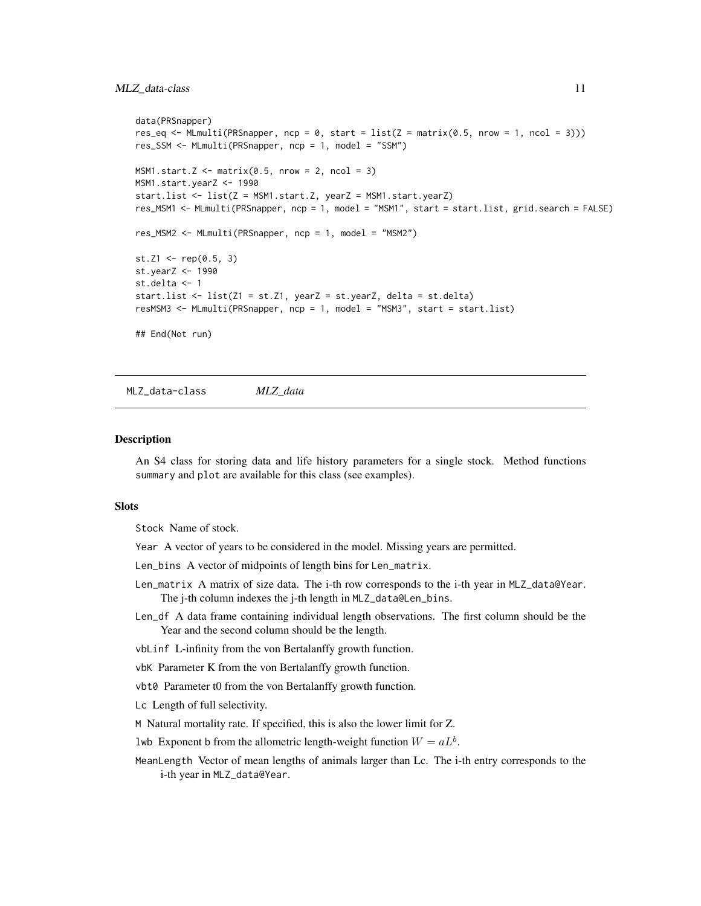```
data(PRSnapper)
res_eq <- MLmulti(PRSnapper, ncp = 0, start = list(Z = matrix(0.5, nrow = 1, ncol = 3)))
res_SSM <- MLmulti(PRSnapper, ncp = 1, model = "SSM")
MSM1.start.Z \leq -\text{matrix}(0.5, \text{now} = 2, \text{ncol} = 3)MSM1.start.yearZ <- 1990
start.list <- list(Z = MSM1.start.Z, yearZ = MSM1.start.yearZ)
res_MSM1 <- MLmulti(PRSnapper, ncp = 1, model = "MSM1", start = start.list, grid.search = FALSE)
res_MSM2 <- MLmulti(PRSnapper, ncp = 1, model = "MSM2")
st.Z1 <- rep(0.5, 3)st.yearZ <- 1990
st.delta <- 1
start.list <- list(Z1 = st.Z1, yearZ = st.yearZ, delta = st.delta)
resMSM3 <- MLmulti(PRSnapper, ncp = 1, model = "MSM3", start = start.list)
## End(Not run)
```
<span id="page-10-1"></span>MLZ\_data-class *MLZ\_data*

#### Description

An S4 class for storing data and life history parameters for a single stock. Method functions summary and plot are available for this class (see examples).

#### Slots

Stock Name of stock.

- Year A vector of years to be considered in the model. Missing years are permitted.
- Len\_bins A vector of midpoints of length bins for Len\_matrix.
- Len\_matrix A matrix of size data. The i-th row corresponds to the i-th year in MLZ\_data@Year. The j-th column indexes the j-th length in MLZ\_data@Len\_bins.
- Len\_df A data frame containing individual length observations. The first column should be the Year and the second column should be the length.
- vbLinf L-infinity from the von Bertalanffy growth function.
- vbK Parameter K from the von Bertalanffy growth function.
- vbt0 Parameter t0 from the von Bertalanffy growth function.
- Lc Length of full selectivity.
- M Natural mortality rate. If specified, this is also the lower limit for Z.
- lwb Exponent b from the allometric length-weight function  $W = aL<sup>b</sup>$ .
- MeanLength Vector of mean lengths of animals larger than Lc. The i-th entry corresponds to the i-th year in MLZ\_data@Year.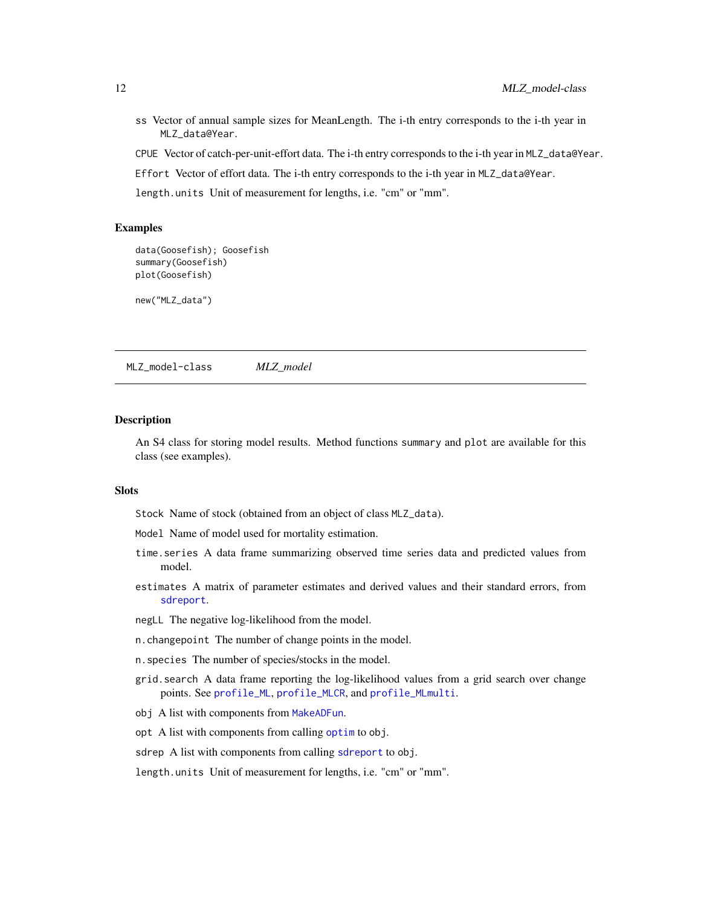- <span id="page-11-0"></span>ss Vector of annual sample sizes for MeanLength. The i-th entry corresponds to the i-th year in MLZ\_data@Year.
- CPUE Vector of catch-per-unit-effort data. The i-th entry corresponds to the i-th year in MLZ\_data@Year.
- Effort Vector of effort data. The i-th entry corresponds to the i-th year in MLZ\_data@Year.
- length.units Unit of measurement for lengths, i.e. "cm" or "mm".

```
data(Goosefish); Goosefish
summary(Goosefish)
plot(Goosefish)
```
new("MLZ\_data")

<span id="page-11-1"></span>MLZ\_model-class *MLZ\_model*

#### Description

An S4 class for storing model results. Method functions summary and plot are available for this class (see examples).

## **Slots**

Stock Name of stock (obtained from an object of class MLZ\_data).

- Model Name of model used for mortality estimation.
- time.series A data frame summarizing observed time series data and predicted values from model.
- estimates A matrix of parameter estimates and derived values and their standard errors, from [sdreport](#page-0-0).
- negLL The negative log-likelihood from the model.
- n.changepoint The number of change points in the model.
- n.species The number of species/stocks in the model.
- grid.search A data frame reporting the log-likelihood values from a grid search over change points. See [profile\\_ML](#page-15-1), [profile\\_MLCR](#page-16-1), and [profile\\_MLmulti](#page-17-1).
- obj A list with components from [MakeADFun](#page-0-0).
- opt A list with components from calling [optim](#page-0-0) to obj.
- sdrep A list with components from calling [sdreport](#page-0-0) to obj.

length.units Unit of measurement for lengths, i.e. "cm" or "mm".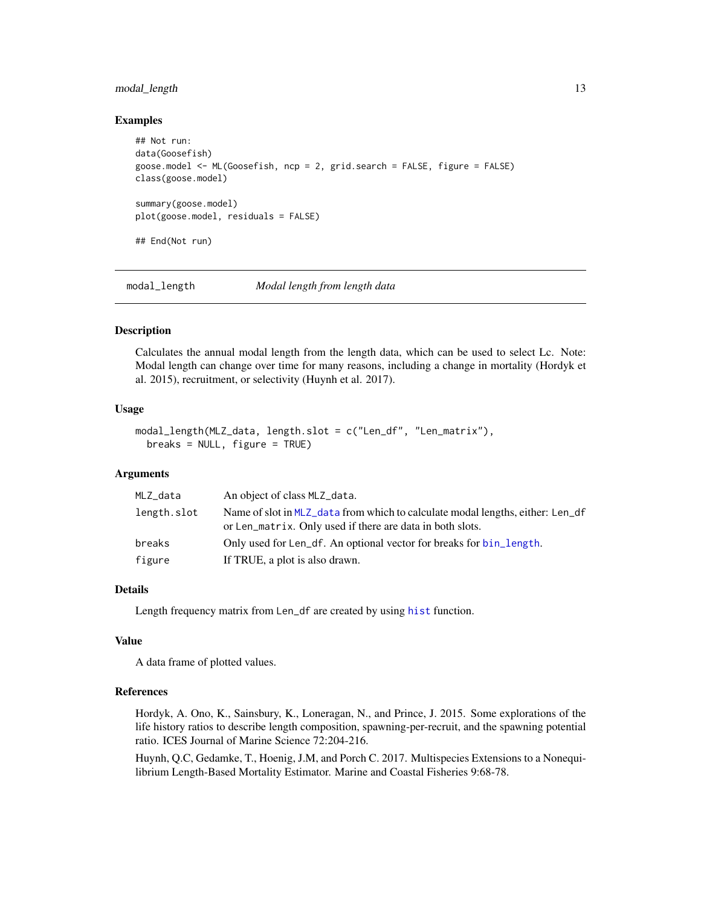## <span id="page-12-0"></span>modal\_length 13

#### Examples

```
## Not run:
data(Goosefish)
goose.model <- ML(Goosefish, ncp = 2, grid.search = FALSE, figure = FALSE)
class(goose.model)
summary(goose.model)
plot(goose.model, residuals = FALSE)
## End(Not run)
```
modal\_length *Modal length from length data*

## Description

Calculates the annual modal length from the length data, which can be used to select Lc. Note: Modal length can change over time for many reasons, including a change in mortality (Hordyk et al. 2015), recruitment, or selectivity (Huynh et al. 2017).

#### Usage

```
modal_length(MLZ_data, length.slot = c("Len_df", "Len_matrix"),
 breaks = NULL, figure = TRUE)
```
#### Arguments

| MLZ_data    | An object of class MLZ_data.                                                                                                                |
|-------------|---------------------------------------------------------------------------------------------------------------------------------------------|
| length.slot | Name of slot in MLZ_data from which to calculate modal lengths, either: Len_df<br>or Len_matrix. Only used if there are data in both slots. |
| breaks      | Only used for Len_df. An optional vector for breaks for bin_length.                                                                         |
| figure      | If TRUE, a plot is also drawn.                                                                                                              |

## Details

Length frequency matrix from Len\_df are created by using [hist](#page-0-0) function.

## Value

A data frame of plotted values.

## References

Hordyk, A. Ono, K., Sainsbury, K., Loneragan, N., and Prince, J. 2015. Some explorations of the life history ratios to describe length composition, spawning-per-recruit, and the spawning potential ratio. ICES Journal of Marine Science 72:204-216.

Huynh, Q.C, Gedamke, T., Hoenig, J.M, and Porch C. 2017. Multispecies Extensions to a Nonequilibrium Length-Based Mortality Estimator. Marine and Coastal Fisheries 9:68-78.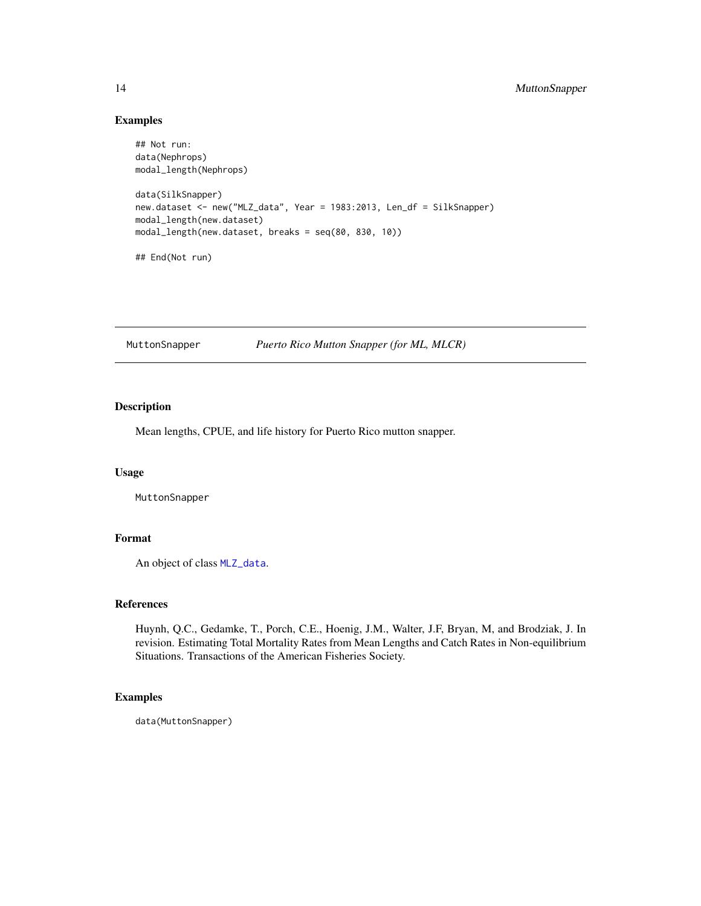```
## Not run:
data(Nephrops)
modal_length(Nephrops)
data(SilkSnapper)
new.dataset <- new("MLZ_data", Year = 1983:2013, Len_df = SilkSnapper)
modal_length(new.dataset)
modal_length(new.dataset, breaks = seq(80, 830, 10))
## End(Not run)
```
MuttonSnapper *Puerto Rico Mutton Snapper (for ML, MLCR)*

## Description

Mean lengths, CPUE, and life history for Puerto Rico mutton snapper.

## Usage

MuttonSnapper

## Format

An object of class [MLZ\\_data](#page-10-1).

## References

Huynh, Q.C., Gedamke, T., Porch, C.E., Hoenig, J.M., Walter, J.F, Bryan, M, and Brodziak, J. In revision. Estimating Total Mortality Rates from Mean Lengths and Catch Rates in Non-equilibrium Situations. Transactions of the American Fisheries Society.

## Examples

data(MuttonSnapper)

<span id="page-13-0"></span>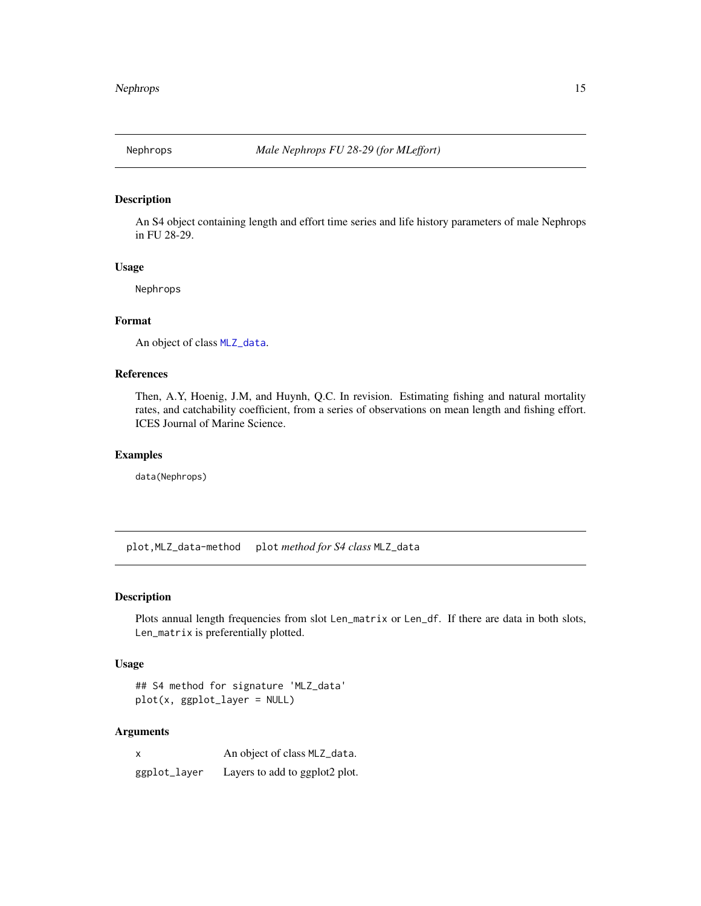<span id="page-14-0"></span>

#### Description

An S4 object containing length and effort time series and life history parameters of male Nephrops in FU 28-29.

#### Usage

Nephrops

## Format

An object of class [MLZ\\_data](#page-10-1).

## References

Then, A.Y, Hoenig, J.M, and Huynh, Q.C. In revision. Estimating fishing and natural mortality rates, and catchability coefficient, from a series of observations on mean length and fishing effort. ICES Journal of Marine Science.

#### Examples

data(Nephrops)

plot,MLZ\_data-method plot *method for S4 class* MLZ\_data

#### Description

Plots annual length frequencies from slot Len\_matrix or Len\_df. If there are data in both slots, Len\_matrix is preferentially plotted.

#### Usage

```
## S4 method for signature 'MLZ_data'
plot(x, ggplot_layer = NULL)
```
## Arguments

| X            | An object of class MLZ_data.   |
|--------------|--------------------------------|
| ggplot_layer | Layers to add to ggplot2 plot. |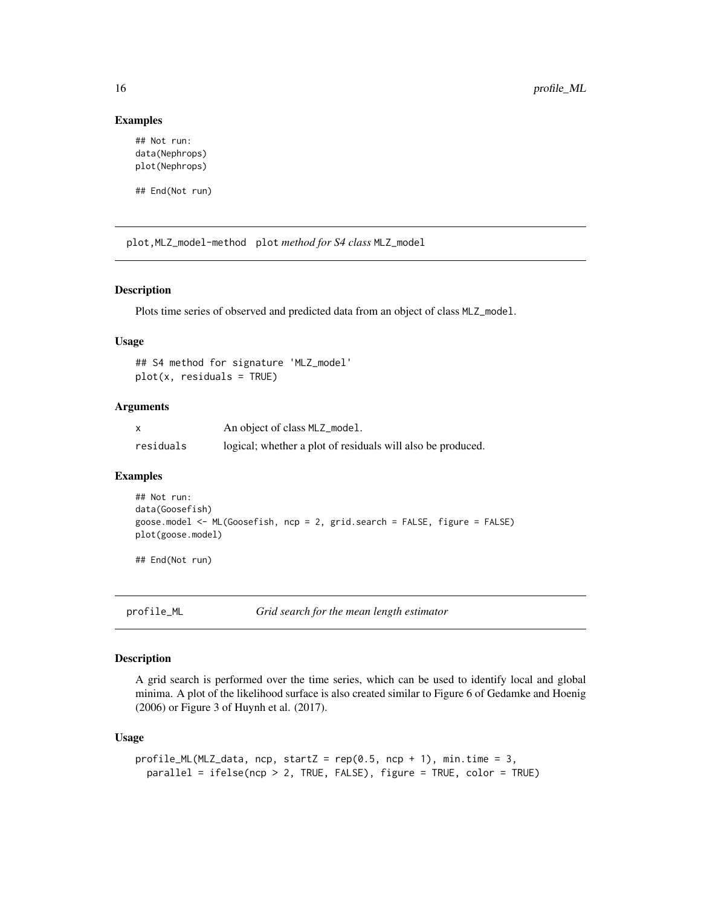```
## Not run:
data(Nephrops)
plot(Nephrops)
```
## End(Not run)

plot,MLZ\_model-method plot *method for S4 class* MLZ\_model

#### Description

Plots time series of observed and predicted data from an object of class MLZ\_model.

#### Usage

## S4 method for signature 'MLZ\_model'  $plot(x, residuals = TRUE)$ 

## Arguments

|           | An object of class MLZ_mode1.                               |
|-----------|-------------------------------------------------------------|
| residuals | logical; whether a plot of residuals will also be produced. |

#### Examples

```
## Not run:
data(Goosefish)
goose.model <- ML(Goosefish, ncp = 2, grid.search = FALSE, figure = FALSE)
plot(goose.model)
```
## End(Not run)

<span id="page-15-1"></span>profile\_ML *Grid search for the mean length estimator*

#### Description

A grid search is performed over the time series, which can be used to identify local and global minima. A plot of the likelihood surface is also created similar to Figure 6 of Gedamke and Hoenig (2006) or Figure 3 of Huynh et al. (2017).

#### Usage

```
profile_ML(MLZ_data, ncp, startZ = rep(0.5, ncp + 1), min.time = 3,
 parallel = ifelse(ncp > 2, TRUE, FALSE), figure = TRUE, color = TRUE)
```
<span id="page-15-0"></span>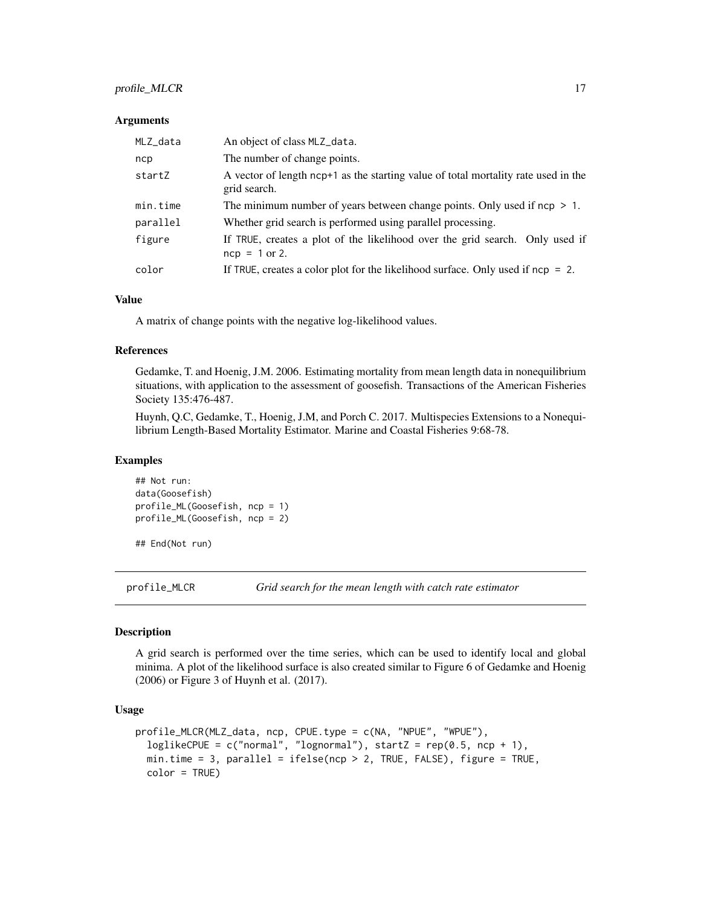## <span id="page-16-0"></span>profile\_MLCR 17

#### Arguments

| MLZ_data | An object of class MLZ_data.                                                                       |
|----------|----------------------------------------------------------------------------------------------------|
| ncp      | The number of change points.                                                                       |
| startZ   | A vector of length ncp+1 as the starting value of total mortality rate used in the<br>grid search. |
| min.time | The minimum number of years between change points. Only used if $ncp > 1$ .                        |
| parallel | Whether grid search is performed using parallel processing.                                        |
| figure   | If TRUE, creates a plot of the likelihood over the grid search. Only used if<br>$ncp = 1$ or 2.    |
| color    | If TRUE, creates a color plot for the likelihood surface. Only used if $ncp = 2$ .                 |

#### Value

A matrix of change points with the negative log-likelihood values.

#### References

Gedamke, T. and Hoenig, J.M. 2006. Estimating mortality from mean length data in nonequilibrium situations, with application to the assessment of goosefish. Transactions of the American Fisheries Society 135:476-487.

Huynh, Q.C, Gedamke, T., Hoenig, J.M, and Porch C. 2017. Multispecies Extensions to a Nonequilibrium Length-Based Mortality Estimator. Marine and Coastal Fisheries 9:68-78.

#### Examples

```
## Not run:
data(Goosefish)
profile_ML(Goosefish, ncp = 1)
profile_ML(Goosefish, ncp = 2)
```
## End(Not run)

<span id="page-16-1"></span>profile\_MLCR *Grid search for the mean length with catch rate estimator*

#### Description

A grid search is performed over the time series, which can be used to identify local and global minima. A plot of the likelihood surface is also created similar to Figure 6 of Gedamke and Hoenig (2006) or Figure 3 of Huynh et al. (2017).

## Usage

```
profile_MLCR(MLZ_data, ncp, CPUE.type = c(NA, "NPUE", "WPUE"),
  loglikeCPUE = c("normal", "lognormal"), startZ = rep(0.5, ncp + 1),min.time = 3, parallel = ifelse(ncp > 2, TRUE, FALSE), figure = TRUE,
  color = TRUE)
```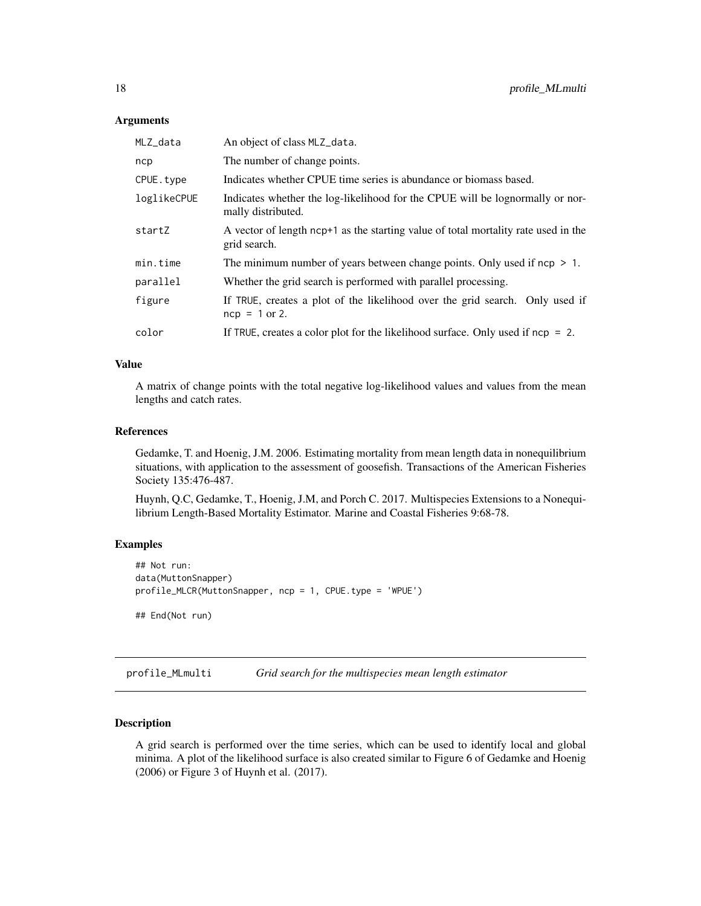#### <span id="page-17-0"></span>Arguments

| MLZ_data    | An object of class MLZ_data.                                                                        |
|-------------|-----------------------------------------------------------------------------------------------------|
| ncp         | The number of change points.                                                                        |
| CPUE.type   | Indicates whether CPUE time series is abundance or biomass based.                                   |
| loglikeCPUE | Indicates whether the log-likelihood for the CPUE will be lognormally or nor-<br>mally distributed. |
| startZ      | A vector of length ncp+1 as the starting value of total mortality rate used in the<br>grid search.  |
| min.time    | The minimum number of years between change points. Only used if $ncp > 1$ .                         |
| parallel    | Whether the grid search is performed with parallel processing.                                      |
| figure      | If TRUE, creates a plot of the likelihood over the grid search. Only used if<br>$ncp = 1$ or 2.     |
| color       | If TRUE, creates a color plot for the likelihood surface. Only used if $ncp = 2$ .                  |
|             |                                                                                                     |

## Value

A matrix of change points with the total negative log-likelihood values and values from the mean lengths and catch rates.

#### References

Gedamke, T. and Hoenig, J.M. 2006. Estimating mortality from mean length data in nonequilibrium situations, with application to the assessment of goosefish. Transactions of the American Fisheries Society 135:476-487.

Huynh, Q.C, Gedamke, T., Hoenig, J.M, and Porch C. 2017. Multispecies Extensions to a Nonequilibrium Length-Based Mortality Estimator. Marine and Coastal Fisheries 9:68-78.

#### Examples

```
## Not run:
data(MuttonSnapper)
profile_MLCR(MuttonSnapper, ncp = 1, CPUE.type = 'WPUE')
## End(Not run)
```
<span id="page-17-1"></span>profile\_MLmulti *Grid search for the multispecies mean length estimator*

## Description

A grid search is performed over the time series, which can be used to identify local and global minima. A plot of the likelihood surface is also created similar to Figure 6 of Gedamke and Hoenig (2006) or Figure 3 of Huynh et al. (2017).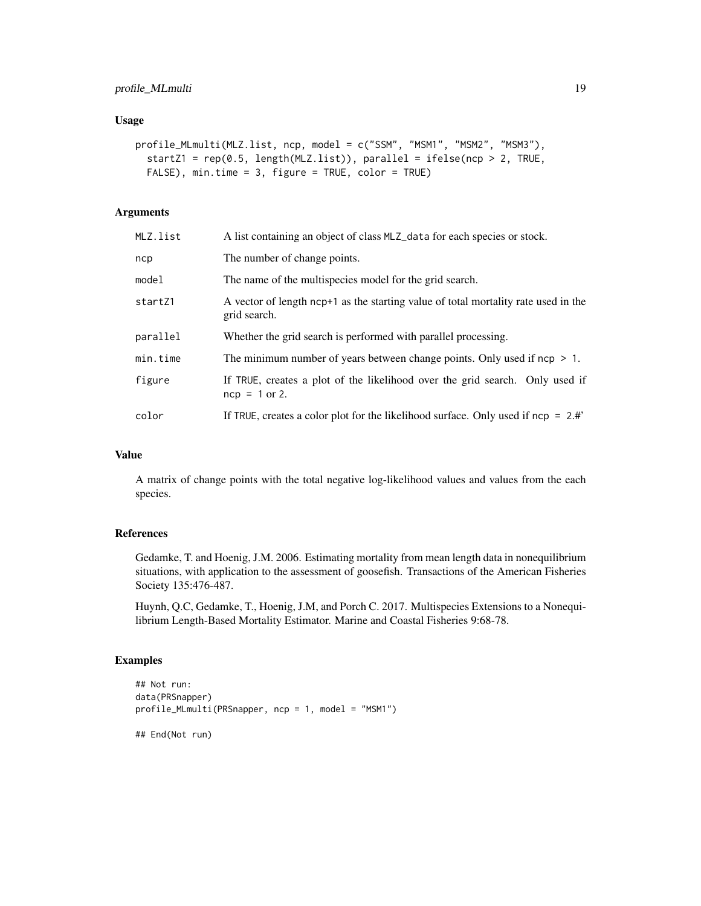#### Usage

```
profile_MLmulti(MLZ.list, ncp, model = c("SSM", "MSM1", "MSM2", "MSM3"),
  startZ1 = rep(0.5, length(MLZ.list)), parallel = ifelse(ncp > 2, TRUE,
  FALSE), min.time = 3, figure = TRUE, color = TRUE)
```
## Arguments

| MLZ.list | A list containing an object of class MLZ_data for each species or stock.                           |
|----------|----------------------------------------------------------------------------------------------------|
| ncp      | The number of change points.                                                                       |
| model    | The name of the multispecies model for the grid search.                                            |
| startZ1  | A vector of length ncp+1 as the starting value of total mortality rate used in the<br>grid search. |
| parallel | Whether the grid search is performed with parallel processing.                                     |
| min.time | The minimum number of years between change points. Only used if $ncp > 1$ .                        |
| figure   | If TRUE, creates a plot of the likelihood over the grid search. Only used if<br>$ncp = 1$ or 2.    |
| color    | If TRUE, creates a color plot for the likelihood surface. Only used if $ncp = 2.4$ "               |

## Value

A matrix of change points with the total negative log-likelihood values and values from the each species.

#### References

Gedamke, T. and Hoenig, J.M. 2006. Estimating mortality from mean length data in nonequilibrium situations, with application to the assessment of goosefish. Transactions of the American Fisheries Society 135:476-487.

Huynh, Q.C, Gedamke, T., Hoenig, J.M, and Porch C. 2017. Multispecies Extensions to a Nonequilibrium Length-Based Mortality Estimator. Marine and Coastal Fisheries 9:68-78.

## Examples

```
## Not run:
data(PRSnapper)
profile_MLmulti(PRSnapper, ncp = 1, model = "MSM1")
## End(Not run)
```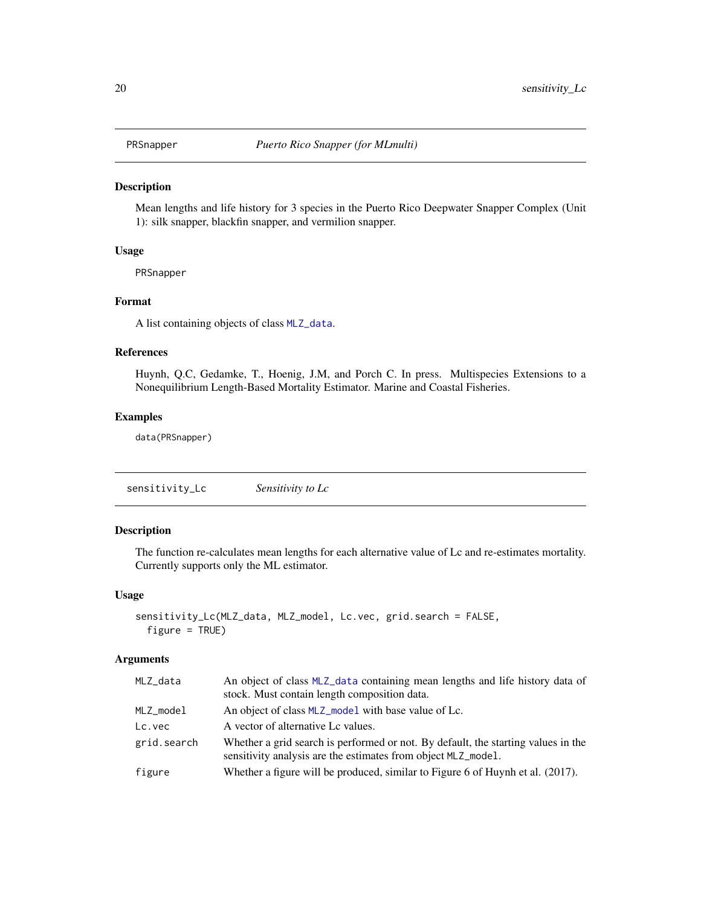<span id="page-19-0"></span>

#### Description

Mean lengths and life history for 3 species in the Puerto Rico Deepwater Snapper Complex (Unit 1): silk snapper, blackfin snapper, and vermilion snapper.

## Usage

PRSnapper

## Format

A list containing objects of class [MLZ\\_data](#page-10-1).

## References

Huynh, Q.C, Gedamke, T., Hoenig, J.M, and Porch C. In press. Multispecies Extensions to a Nonequilibrium Length-Based Mortality Estimator. Marine and Coastal Fisheries.

#### Examples

data(PRSnapper)

sensitivity\_Lc *Sensitivity to Lc*

#### Description

The function re-calculates mean lengths for each alternative value of Lc and re-estimates mortality. Currently supports only the ML estimator.

#### Usage

```
sensitivity_Lc(MLZ_data, MLZ_model, Lc.vec, grid.search = FALSE,
 figure = TRUE)
```
## Arguments

| MLZ_data    | An object of class MLZ_data containing mean lengths and life history data of<br>stock. Must contain length composition data.                       |
|-------------|----------------------------------------------------------------------------------------------------------------------------------------------------|
| MLZ model   | An object of class MLZ_model with base value of Lc.                                                                                                |
| Lc.vec      | A vector of alternative Lc values.                                                                                                                 |
| grid.search | Whether a grid search is performed or not. By default, the starting values in the<br>sensitivity analysis are the estimates from object MLZ_mode1. |
| figure      | Whether a figure will be produced, similar to Figure 6 of Huynh et al. $(2017)$ .                                                                  |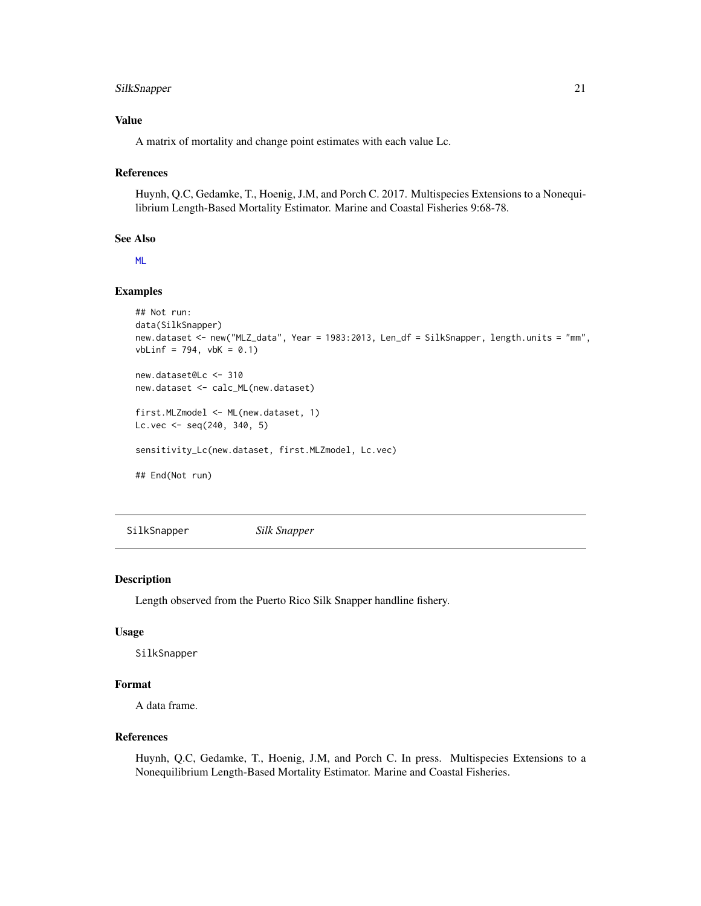## <span id="page-20-0"></span>SilkSnapper 21

## Value

A matrix of mortality and change point estimates with each value Lc.

#### References

Huynh, Q.C, Gedamke, T., Hoenig, J.M, and Porch C. 2017. Multispecies Extensions to a Nonequilibrium Length-Based Mortality Estimator. Marine and Coastal Fisheries 9:68-78.

## See Also

[ML](#page-4-1)

## Examples

```
## Not run:
data(SilkSnapper)
new.dataset <- new("MLZ_data", Year = 1983:2013, Len_df = SilkSnapper, length.units = "mm",
vblinf = 794, vbk = 0.1new.dataset@Lc <- 310
new.dataset <- calc_ML(new.dataset)
first.MLZmodel <- ML(new.dataset, 1)
Lc.vec <- seq(240, 340, 5)
sensitivity_Lc(new.dataset, first.MLZmodel, Lc.vec)
## End(Not run)
```
SilkSnapper *Silk Snapper*

#### Description

Length observed from the Puerto Rico Silk Snapper handline fishery.

#### Usage

SilkSnapper

## Format

A data frame.

## References

Huynh, Q.C, Gedamke, T., Hoenig, J.M, and Porch C. In press. Multispecies Extensions to a Nonequilibrium Length-Based Mortality Estimator. Marine and Coastal Fisheries.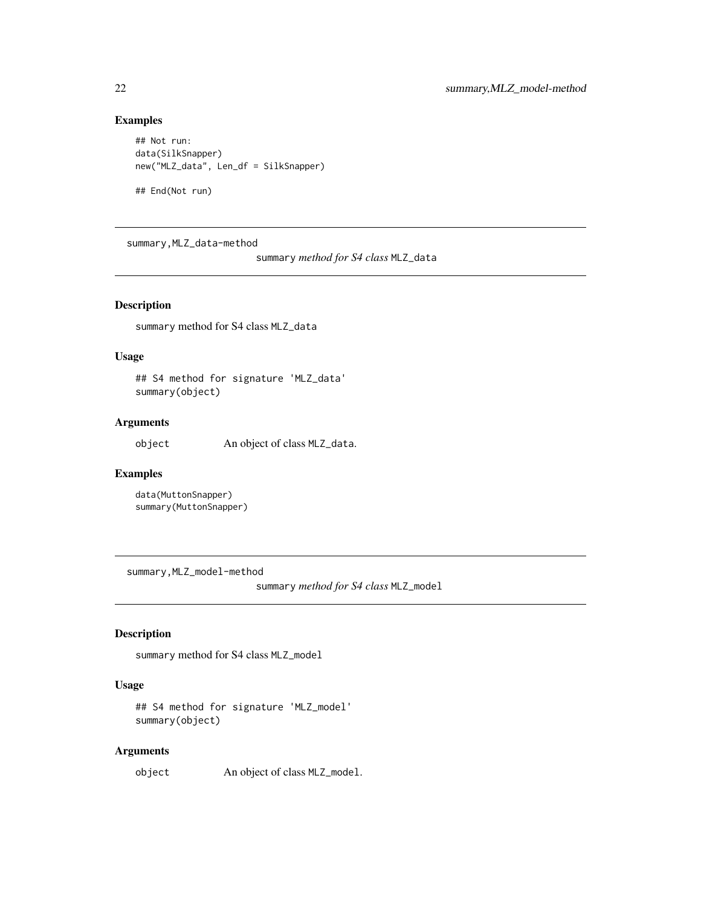```
## Not run:
data(SilkSnapper)
new("MLZ_data", Len_df = SilkSnapper)
```
## End(Not run)

summary,MLZ\_data-method

summary *method for S4 class* MLZ\_data

## Description

summary method for S4 class MLZ\_data

#### Usage

## S4 method for signature 'MLZ\_data' summary(object)

## Arguments

object An object of class MLZ\_data.

#### Examples

data(MuttonSnapper) summary(MuttonSnapper)

summary,MLZ\_model-method

summary *method for S4 class* MLZ\_model

## Description

summary method for S4 class MLZ\_model

## Usage

## S4 method for signature 'MLZ\_model' summary(object)

## Arguments

object An object of class MLZ\_model.

<span id="page-21-0"></span>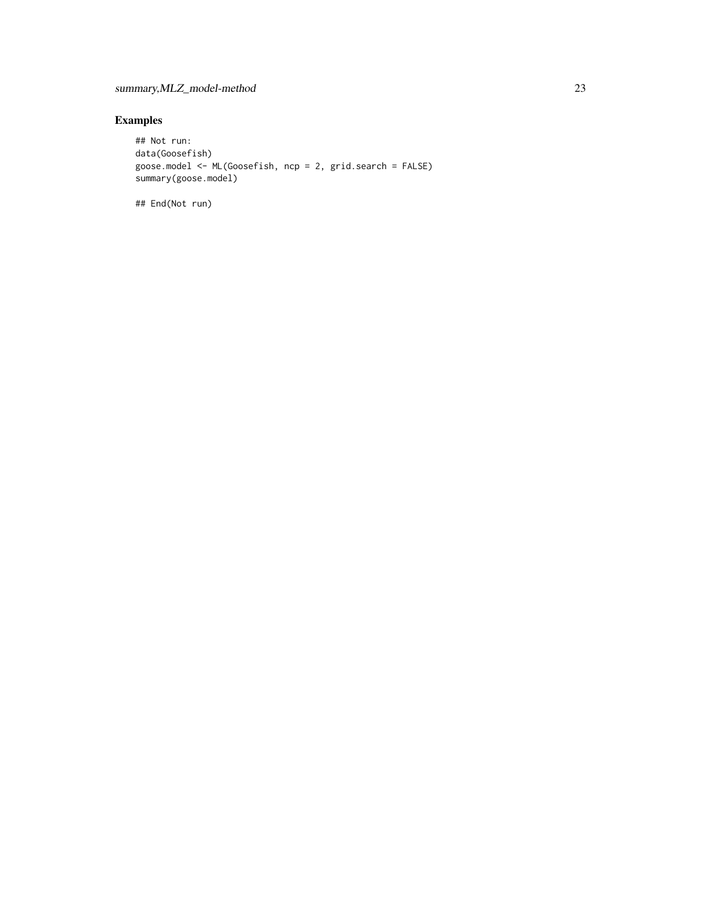```
## Not run:
data(Goosefish)
goose.model <- ML(Goosefish, ncp = 2, grid.search = FALSE)
summary(goose.model)
```
## End(Not run)